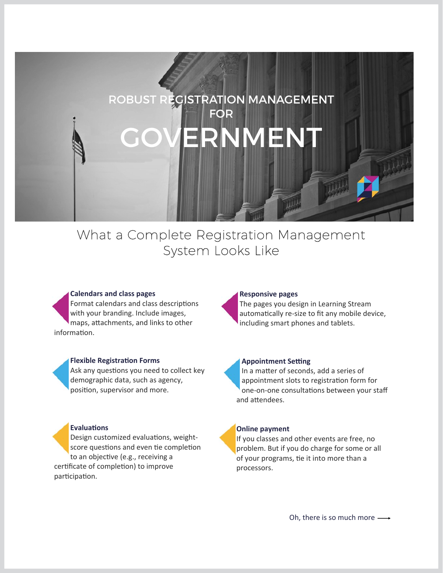# ROBUST REGISTRATION MANAGEMENT FOR ERNMEN

## What a Complete Registration Management System Looks Like

#### **Calendars and class pages**

Format calendars and class descriptions with your branding. Include images, maps, attachments, and links to other information.

#### **Flexible RegistraƟon Forms**

Ask any questions you need to collect key demographic data, such as agency, position, supervisor and more.

#### **EvaluaƟons**

Design customized evaluations, weightscore questions and even tie completion to an objective (e.g., receiving a certificate of completion) to improve participation.

#### **Responsive pages**

The pages you design in Learning Stream automatically re-size to fit any mobile device, including smart phones and tablets.

#### **Appointment Setting**

In a matter of seconds, add a series of appointment slots to registration form for one-on-one consultations between your staff and attendees.

#### **Online payment**

If you classes and other events are free, no problem. But if you do charge for some or all of your programs, tie it into more than a processors.